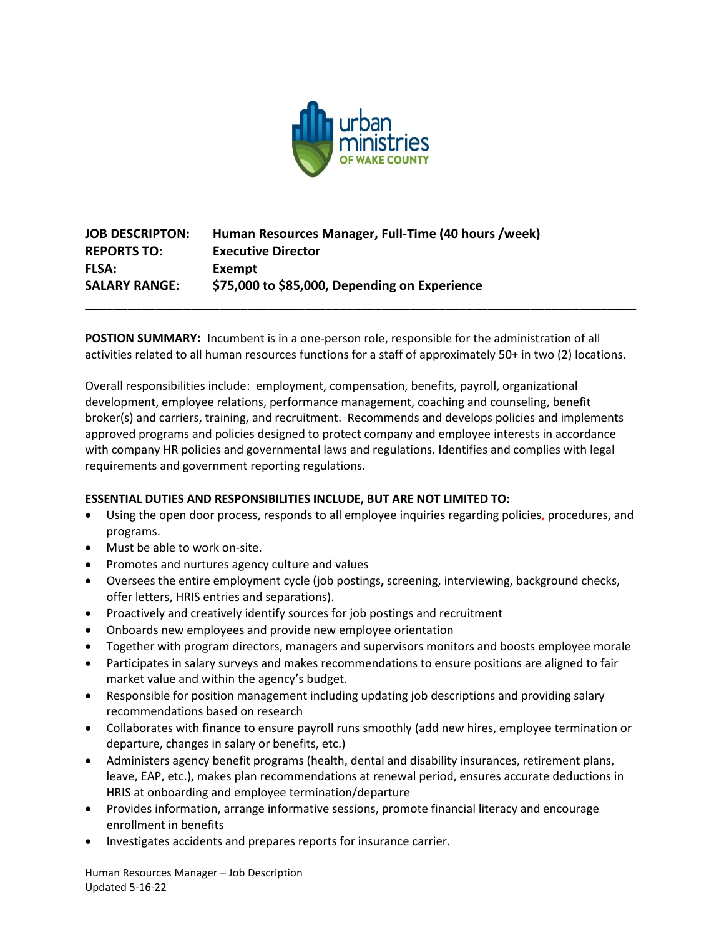

## **JOB DESCRIPTON: Human Resources Manager, Full-Time (40 hours /week) REPORTS TO: Executive Director FLSA: Exempt SALARY RANGE: \$75,000 to \$85,000, Depending on Experience**

**POSTION SUMMARY:** Incumbent is in a one-person role, responsible for the administration of all activities related to all human resources functions for a staff of approximately 50+ in two (2) locations.

**\_\_\_\_\_\_\_\_\_\_\_\_\_\_\_\_\_\_\_\_\_\_\_\_\_\_\_\_\_\_\_\_\_\_\_\_\_\_\_\_\_\_\_\_\_\_\_\_\_\_\_\_\_\_\_\_\_\_\_\_\_\_\_\_\_\_\_\_\_\_\_\_\_\_\_\_\_\_**

Overall responsibilities include: employment, compensation, benefits, payroll, organizational development, employee relations, performance management, coaching and counseling, benefit broker(s) and carriers, training, and recruitment. Recommends and develops policies and implements approved programs and policies designed to protect company and employee interests in accordance with company HR policies and governmental laws and regulations. Identifies and complies with legal requirements and government reporting regulations.

## **ESSENTIAL DUTIES AND RESPONSIBILITIES INCLUDE, BUT ARE NOT LIMITED TO:**

- Using the open door process, responds to all employee inquiries regarding policies, procedures, and programs.
- Must be able to work on-site.
- Promotes and nurtures agency culture and values
- Oversees the entire employment cycle (job postings**,** screening, interviewing, background checks, offer letters, HRIS entries and separations).
- Proactively and creatively identify sources for job postings and recruitment
- Onboards new employees and provide new employee orientation
- Together with program directors, managers and supervisors monitors and boosts employee morale
- Participates in salary surveys and makes recommendations to ensure positions are aligned to fair market value and within the agency's budget.
- Responsible for position management including updating job descriptions and providing salary recommendations based on research
- Collaborates with finance to ensure payroll runs smoothly (add new hires, employee termination or departure, changes in salary or benefits, etc.)
- Administers agency benefit programs (health, dental and disability insurances, retirement plans, leave, EAP, etc.), makes plan recommendations at renewal period, ensures accurate deductions in HRIS at onboarding and employee termination/departure
- Provides information, arrange informative sessions, promote financial literacy and encourage enrollment in benefits
- Investigates accidents and prepares reports for insurance carrier.

Human Resources Manager – Job Description Updated 5-16-22